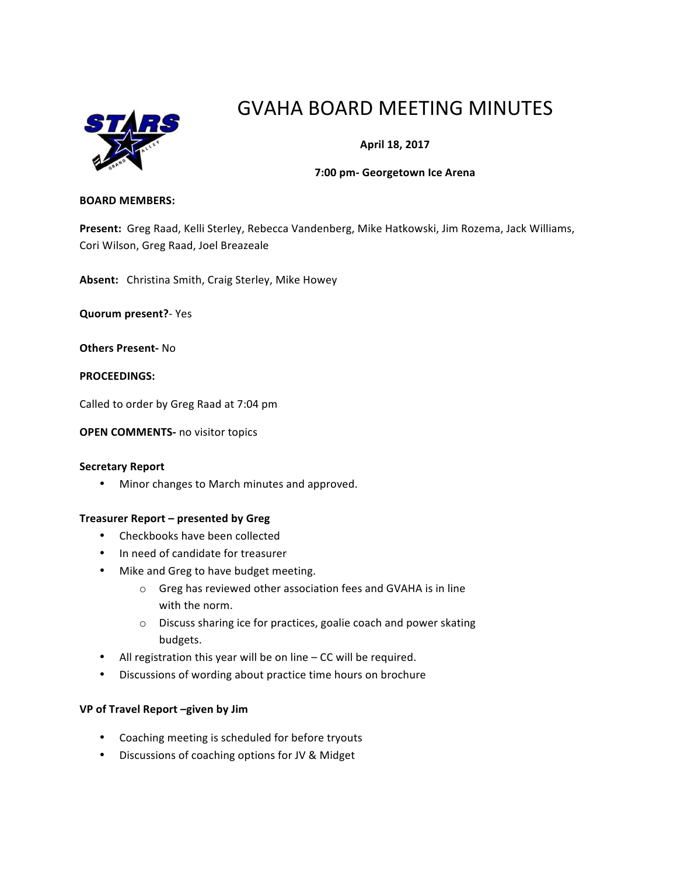

# GVAHA BOARD MEETING MINUTES

# **April 18, 2017**

## **7:00 pm- Georgetown Ice Arena**

#### **BOARD MEMBERS:**

Present: Greg Raad, Kelli Sterley, Rebecca Vandenberg, Mike Hatkowski, Jim Rozema, Jack Williams, Cori Wilson, Greg Raad, Joel Breazeale

Absent: Christina Smith, Craig Sterley, Mike Howey

**Quorum present?**- Yes

**Others Present-** No

**PROCEEDINGS:**

Called to order by Greg Raad at 7:04 pm

**OPEN COMMENTS-** no visitor topics

#### **Secretary Report**

• Minor changes to March minutes and approved.

## **Treasurer Report – presented by Greg**

- Checkbooks have been collected
- In need of candidate for treasurer
- Mike and Greg to have budget meeting.
	- $\circ$  Greg has reviewed other association fees and GVAHA is in line with the norm.
	- $\circ$  Discuss sharing ice for practices, goalie coach and power skating budgets.
- All registration this year will be on line  $-$  CC will be required.
- Discussions of wording about practice time hours on brochure

## **VP of Travel Report –given by Jim**

- Coaching meeting is scheduled for before tryouts
- Discussions of coaching options for JV & Midget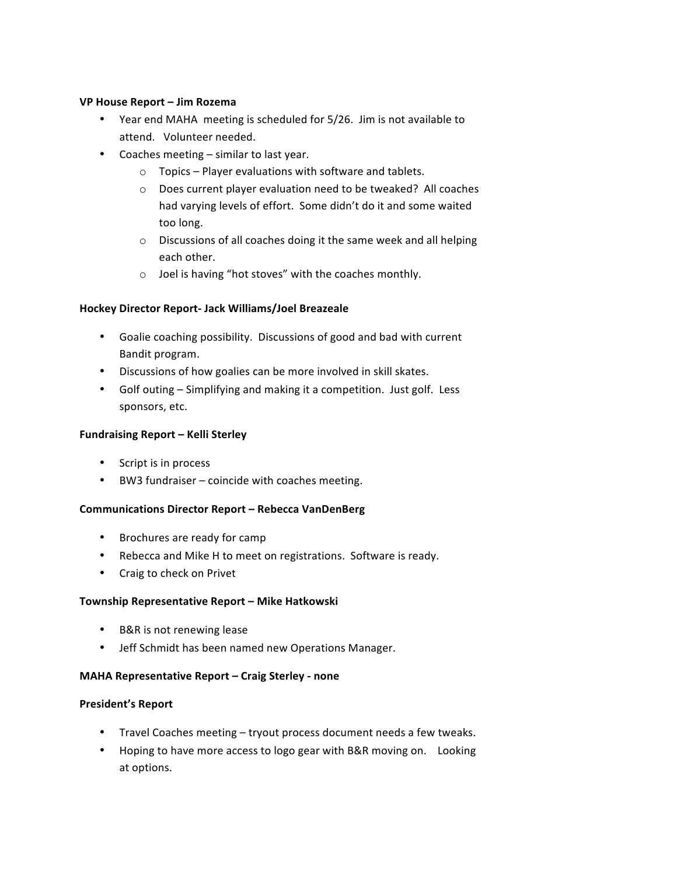# **VP House Report – Jim Rozema**

- Year end MAHA meeting is scheduled for 5/26. Jim is not available to attend. Volunteer needed.
- Coaches meeting similar to last year.
	- $\circ$  Topics Player evaluations with software and tablets.
	- $\circ$  Does current player evaluation need to be tweaked? All coaches had varying levels of effort. Some didn't do it and some waited too long.
	- $\circ$  Discussions of all coaches doing it the same week and all helping each other.
	- $\circ$  Joel is having "hot stoves" with the coaches monthly.

# **Hockey Director Report- Jack Williams/Joel Breazeale**

- Goalie coaching possibility. Discussions of good and bad with current Bandit program.
- Discussions of how goalies can be more involved in skill skates.
- Golf outing Simplifying and making it a competition. Just golf. Less sponsors, etc.

# **Fundraising Report – Kelli Sterley**

- Script is in process
- BW3 fundraiser coincide with coaches meeting.

# **Communications Director Report – Rebecca VanDenBerg**

- Brochures are ready for camp
- Rebecca and Mike H to meet on registrations. Software is ready.
- Craig to check on Privet

## **Township Representative Report – Mike Hatkowski**

- B&R is not renewing lease
- Jeff Schmidt has been named new Operations Manager.

## **MAHA Representative Report – Craig Sterley - none**

## **President's Report**

- Travel Coaches meeting tryout process document needs a few tweaks.
- Hoping to have more access to logo gear with B&R moving on. Looking at options.